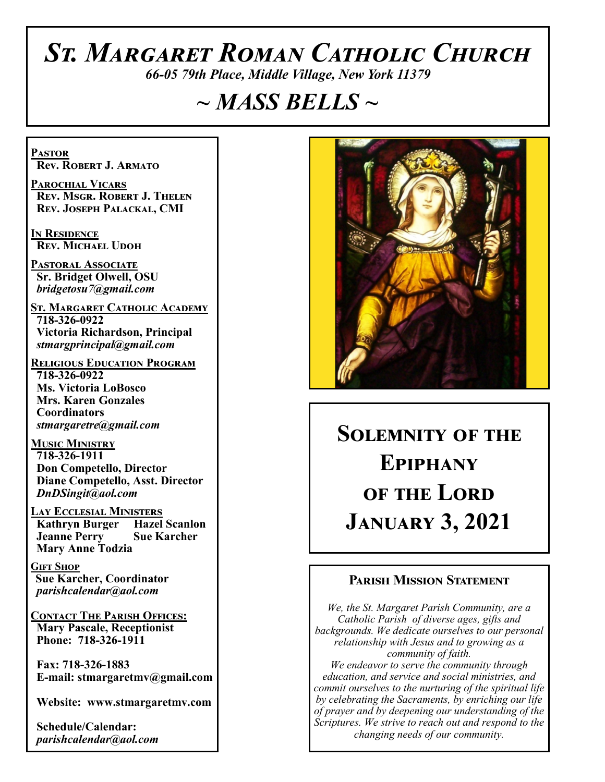# *St. Margaret Roman Catholic Church*

*66-05 79th Place, Middle Village, New York 11379*

# *~ MASS BELLS ~*

**Pastor Rev. Robert J. Armato**

**Parochial Vicars Rev. Msgr. Robert J. Thelen Rev. Joseph Palackal, CMI**

**In Residence Rev. Michael Udoh**

**Pastoral Associate Sr. Bridget Olwell, OSU**  *bridgetosu7@gmail.com*

**St. Margaret Catholic Academy 718-326-0922 Victoria Richardson, Principal**  *stmargprincipal@gmail.com*

**Religious Education Program 718-326-0922 Ms. Victoria LoBosco Mrs. Karen Gonzales Coordinators** *stmargaretre@gmail.com*

**Music Ministry 718-326-1911 Don Competello, Director Diane Competello, Asst. Director** *DnDSingit@aol.com*

**Lay Ecclesial Ministers Kathryn Burger Jeanne Perry Sue Karcher Mary Anne Todzia**

**Gift Shop Sue Karcher, Coordinator** *parishcalendar@aol.com*

**Contact The Parish Offices: Mary Pascale, Receptionist Phone: 718-326-1911** 

 **Fax: 718-326-1883 E-mail: stmargaretmv@gmail.com**

 **Website: www.stmargaretmv.com**

 **Schedule/Calendar:** *parishcalendar@aol.com* 



**Solemnity of the Epiphany of the Lord January 3, 2021** 

#### **Parish Mission Statement**

*We, the St. Margaret Parish Community, are a Catholic Parish of diverse ages, gifts and backgrounds. We dedicate ourselves to our personal relationship with Jesus and to growing as a community of faith. We endeavor to serve the community through education, and service and social ministries, and commit ourselves to the nurturing of the spiritual life by celebrating the Sacraments, by enriching our life of prayer and by deepening our understanding of the* 

*Scriptures. We strive to reach out and respond to the changing needs of our community.*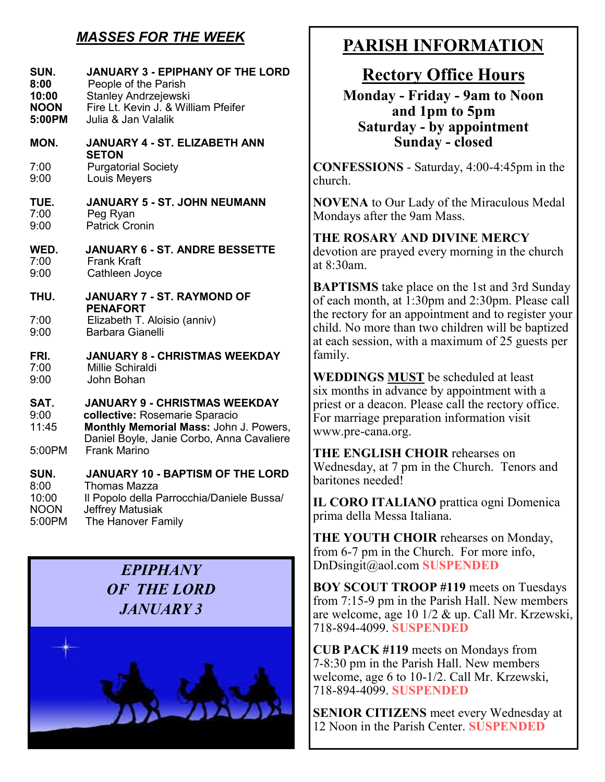# *MASSES FOR THE WEEK*

| SUN.         | <b>JANUARY 3 - EPIPHANY OF THE LORD</b>                             |
|--------------|---------------------------------------------------------------------|
| 8:00         | People of the Parish                                                |
| 10:00        | <b>Stanley Andrzejewski</b>                                         |
| <b>NOON</b>  | Fire Lt. Kevin J. & William Pfeifer                                 |
| 5:00PM       | Julia & Jan Valalik                                                 |
| MON.         | <b>JANUARY 4 - ST. ELIZABETH ANN</b>                                |
| 7:00<br>9:00 | <b>SETON</b><br><b>Purgatorial Society</b><br>Louis Meyers          |
| TUE.         | <b>JANUARY 5 - ST. JOHN NEUMANN</b>                                 |
| 7:00         | Peg Ryan                                                            |
| 9:00         | <b>Patrick Cronin</b>                                               |
| WED.         | <b>JANUARY 6 - ST. ANDRE BESSETTE</b>                               |
| 7:00         | <b>Frank Kraft</b>                                                  |
| 9:00         | Cathleen Joyce                                                      |
| THU.         | <b>JANUARY 7 - ST. RAYMOND OF</b>                                   |
| 7:00<br>9:00 | <b>PENAFORT</b><br>Elizabeth T. Aloisio (anniv)<br>Barbara Gianelli |
| FRI.         | <b>JANUARY 8 - CHRISTMAS WEEKDAY</b>                                |
| 7:00         | <b>Millie Schiraldi</b>                                             |
| 9:00         | John Bohan                                                          |
| SAT.         | <b>JANUARY 9 - CHRISTMAS WEEKDAY</b>                                |
| 9:00         | collective: Rosemarie Sparacio                                      |
| 11:45        | Monthly Memorial Mass: John J. Powers,                              |
| 5:00PM       | Daniel Boyle, Janie Corbo, Anna Cavaliere<br><b>Frank Marino</b>    |
| SUN.         | <b>JANUARY 10 - BAPTISM OF THE LORD</b>                             |
| 8:00         | <b>Thomas Mazza</b>                                                 |
| 10:00        | Il Popolo della Parrocchia/Daniele Bussa/                           |
| <b>NOON</b>  | <b>Jeffrey Matusiak</b>                                             |
| 5:00PM       | The Hanover Family                                                  |

# *EPIPHANY OF THE LORD JANUARY 3*



# **PARISH INFORMATION**

# **Rectory Office Hours**

**Monday - Friday - 9am to Noon and 1pm to 5pm Saturday - by appointment Sunday - closed**

**CONFESSIONS** - Saturday, 4:00-4:45pm in the church.

**NOVENA** to Our Lady of the Miraculous Medal Mondays after the 9am Mass.

**THE ROSARY AND DIVINE MERCY** devotion are prayed every morning in the church at 8:30am.

**BAPTISMS** take place on the 1st and 3rd Sunday of each month, at 1:30pm and 2:30pm. Please call the rectory for an appointment and to register your child. No more than two children will be baptized at each session, with a maximum of 25 guests per family.

**WEDDINGS MUST** be scheduled at least six months in advance by appointment with a priest or a deacon. Please call the rectory office. For marriage preparation information visit www.pre-cana.org.

**THE ENGLISH CHOIR** rehearses on Wednesday, at 7 pm in the Church. Tenors and baritones needed!

**IL CORO ITALIANO** prattica ogni Domenica prima della Messa Italiana.

**THE YOUTH CHOIR** rehearses on Monday, from 6-7 pm in the Church. For more info, DnDsingit@aol.com **SUSPENDED**

**BOY SCOUT TROOP #119** meets on Tuesdays from 7:15-9 pm in the Parish Hall. New members are welcome, age 10 1/2 & up. Call Mr. Krzewski, 718-894-4099. **SUSPENDED**

**CUB PACK #119** meets on Mondays from 7-8:30 pm in the Parish Hall. New members welcome, age 6 to 10-1/2. Call Mr. Krzewski, 718-894-4099. **SUSPENDED**

**SENIOR CITIZENS** meet every Wednesday at 12 Noon in the Parish Center. **SUSPENDED**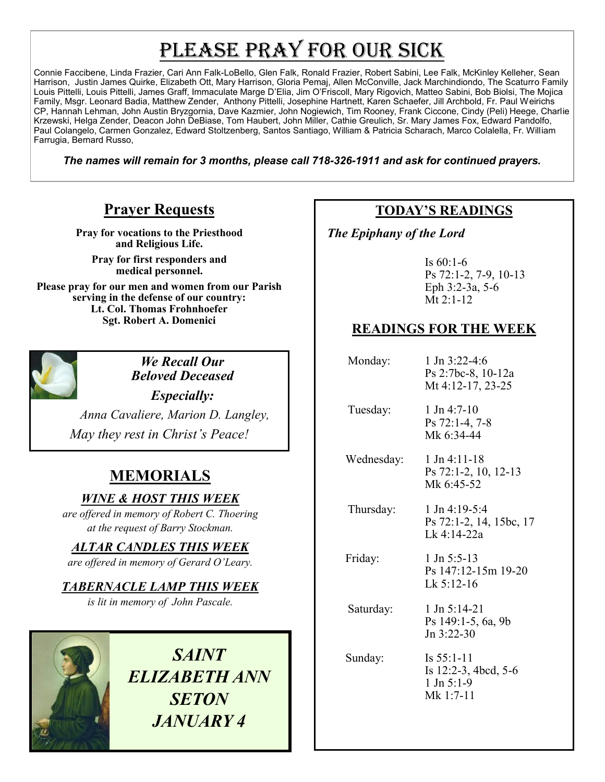# PLEASE PRAY FOR OUR SICK

Connie Faccibene, Linda Frazier, Cari Ann Falk-LoBello, Glen Falk, Ronald Frazier, Robert Sabini, Lee Falk, McKinley Kelleher, Sean Harrison, Justin James Quirke, Elizabeth Ott, Mary Harrison, Gloria Pemaj, Allen McConville, Jack Marchindiondo, The Scaturro Family Louis Pittelli, Louis Pittelli, James Graff, Immaculate Marge D'Elia, Jim O'Friscoll, Mary Rigovich, Matteo Sabini, Bob Biolsi, The Mojica Family, Msgr. Leonard Badia, Matthew Zender, Anthony Pittelli, Josephine Hartnett, Karen Schaefer, Jill Archbold, Fr. Paul Weirichs CP, Hannah Lehman, John Austin Bryzgornia, Dave Kazmier, John Nogiewich, Tim Rooney, Frank Ciccone, Cindy (Peli) Heege, Charlie Krzewski, Helga Zender, Deacon John DeBiase, Tom Haubert, John Miller, Cathie Greulich, Sr. Mary James Fox, Edward Pandolfo, Paul Colangelo, Carmen Gonzalez, Edward Stoltzenberg, Santos Santiago, William & Patricia Scharach, Marco Colalella, Fr. William Farrugia, Bernard Russo,

*The names will remain for 3 months, please call 718-326-1911 and ask for continued prayers.*

# **Prayer Requests**

**Pray for vocations to the Priesthood and Religious Life.** 

**Pray for first responders and medical personnel.**

**Please pray for our men and women from our Parish serving in the defense of our country: Lt. Col. Thomas Frohnhoefer Sgt. Robert A. Domenici** 



*We Recall Our Beloved Deceased*

*Especially: Anna Cavaliere, Marion D. Langley, May they rest in Christ's Peace!*

# **MEMORIALS**

*WINE & HOST THIS WEEK*

*are offered in memory of Robert C. Thoering at the request of Barry Stockman.* 

*ALTAR CANDLES THIS WEEK*

*are offered in memory of Gerard O'Leary.* 

### *TABERNACLE LAMP THIS WEEK*

*is lit in memory of John Pascale.* 

*SAINT ELIZABETH ANN SETON JANUARY 4*

# **TODAY'S READINGS**

 *The Epiphany of the Lord* 

Is 60:1-6 Ps 72:1-2, 7-9, 10-13 Eph 3:2-3a, 5-6 Mt 2:1-12

## **READINGS FOR THE WEEK**

| Monday:    | 1 Jn $3:22-4:6$<br>Ps 2:7bc-8, 10-12a<br>Mt 4:12-17, 23-25              |
|------------|-------------------------------------------------------------------------|
| Tuesday:   | $1$ Jn 4:7-10<br>$Ps 72:1-4, 7-8$<br>Mk 6:34-44                         |
| Wednesday: | $1$ Jn 4:11-18<br>Ps 72:1-2, 10, 12-13<br>Mk 6:45-52                    |
| Thursday:  | $1$ Jn 4:19-5:4<br>Ps 72:1-2, 14, 15bc, 17<br>Lk 4:14-22a               |
| Friday:    | 1 Jn 5:5-13<br>Ps 147:12-15m 19-20<br>Lk 5:12-16                        |
| Saturday:  | $1 \text{ Jn } 5:14-21$<br>Ps 149:1-5, 6a, 9b<br>$Jn \frac{3:22-30}{2}$ |
| Sunday:    | Is $55:1-11$<br>Is $12:2-3$ , 4bcd, 5-6<br>$1$ Jn $5:1-9$<br>Mk 1:7-11  |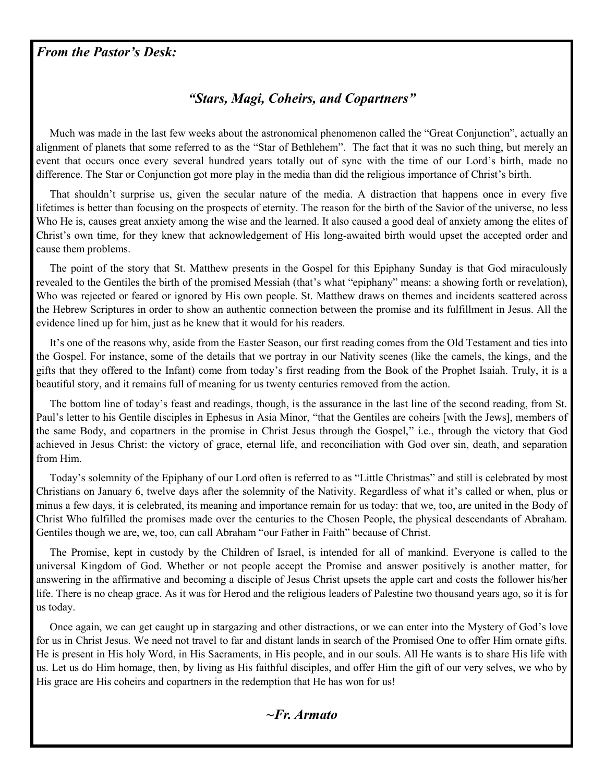#### *From the Pastor's Desk:*

#### *"Stars, Magi, Coheirs, and Copartners"*

 Much was made in the last few weeks about the astronomical phenomenon called the "Great Conjunction", actually an alignment of planets that some referred to as the "Star of Bethlehem". The fact that it was no such thing, but merely an event that occurs once every several hundred years totally out of sync with the time of our Lord's birth, made no difference. The Star or Conjunction got more play in the media than did the religious importance of Christ's birth.

 That shouldn't surprise us, given the secular nature of the media. A distraction that happens once in every five lifetimes is better than focusing on the prospects of eternity. The reason for the birth of the Savior of the universe, no less Who He is, causes great anxiety among the wise and the learned. It also caused a good deal of anxiety among the elites of Christ's own time, for they knew that acknowledgement of His long-awaited birth would upset the accepted order and cause them problems.

 The point of the story that St. Matthew presents in the Gospel for this Epiphany Sunday is that God miraculously revealed to the Gentiles the birth of the promised Messiah (that's what "epiphany" means: a showing forth or revelation), Who was rejected or feared or ignored by His own people. St. Matthew draws on themes and incidents scattered across the Hebrew Scriptures in order to show an authentic connection between the promise and its fulfillment in Jesus. All the evidence lined up for him, just as he knew that it would for his readers.

 It's one of the reasons why, aside from the Easter Season, our first reading comes from the Old Testament and ties into the Gospel. For instance, some of the details that we portray in our Nativity scenes (like the camels, the kings, and the gifts that they offered to the Infant) come from today's first reading from the Book of the Prophet Isaiah. Truly, it is a beautiful story, and it remains full of meaning for us twenty centuries removed from the action.

 The bottom line of today's feast and readings, though, is the assurance in the last line of the second reading, from St. Paul's letter to his Gentile disciples in Ephesus in Asia Minor, "that the Gentiles are coheirs [with the Jews], members of the same Body, and copartners in the promise in Christ Jesus through the Gospel," i.e., through the victory that God achieved in Jesus Christ: the victory of grace, eternal life, and reconciliation with God over sin, death, and separation from Him.

 Today's solemnity of the Epiphany of our Lord often is referred to as "Little Christmas" and still is celebrated by most Christians on January 6, twelve days after the solemnity of the Nativity. Regardless of what it's called or when, plus or minus a few days, it is celebrated, its meaning and importance remain for us today: that we, too, are united in the Body of Christ Who fulfilled the promises made over the centuries to the Chosen People, the physical descendants of Abraham. Gentiles though we are, we, too, can call Abraham "our Father in Faith" because of Christ.

 The Promise, kept in custody by the Children of Israel, is intended for all of mankind. Everyone is called to the universal Kingdom of God. Whether or not people accept the Promise and answer positively is another matter, for answering in the affirmative and becoming a disciple of Jesus Christ upsets the apple cart and costs the follower his/her life. There is no cheap grace. As it was for Herod and the religious leaders of Palestine two thousand years ago, so it is for us today.

 Once again, we can get caught up in stargazing and other distractions, or we can enter into the Mystery of God's love for us in Christ Jesus. We need not travel to far and distant lands in search of the Promised One to offer Him ornate gifts. He is present in His holy Word, in His Sacraments, in His people, and in our souls. All He wants is to share His life with us. Let us do Him homage, then, by living as His faithful disciples, and offer Him the gift of our very selves, we who by His grace are His coheirs and copartners in the redemption that He has won for us!

#### *~Fr. Armato*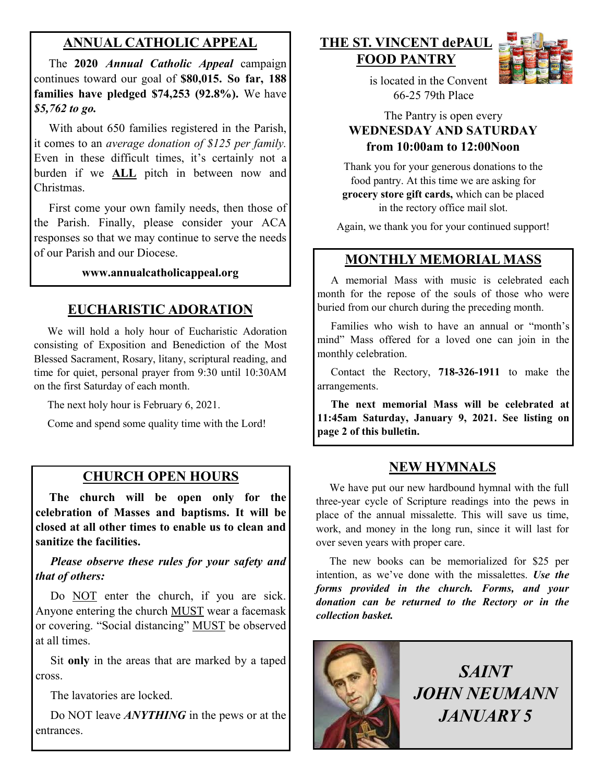# **ANNUAL CATHOLIC APPEAL**

 The **2020** *Annual Catholic Appeal* campaign continues toward our goal of **\$80,015. So far, 188 families have pledged \$74,253 (92.8%).** We have *\$5,762 to go.*

With about 650 families registered in the Parish, it comes to an *average donation of \$125 per family.*  Even in these difficult times, it's certainly not a burden if we **ALL** pitch in between now and Christmas.

 First come your own family needs, then those of the Parish. Finally, please consider your ACA responses so that we may continue to serve the needs of our Parish and our Diocese. Ì

#### **www.annualcatholicappeal.org**

# **EUCHARISTIC ADORATION**

 We will hold a holy hour of Eucharistic Adoration consisting of Exposition and Benediction of the Most Blessed Sacrament, Rosary, litany, scriptural reading, and time for quiet, personal prayer from 9:30 until 10:30AM on the first Saturday of each month.

The next holy hour is February 6, 2021.

Come and spend some quality time with the Lord!

# **CHURCH OPEN HOURS**

 **The church will be open only for the celebration of Masses and baptisms. It will be closed at all other times to enable us to clean and sanitize the facilities.**

 *Please observe these rules for your safety and that of others:*

Do NOT enter the church, if you are sick. Anyone entering the church MUST wear a facemask or covering. "Social distancing" MUST be observed at all times.

 Sit **only** in the areas that are marked by a taped cross.

The lavatories are locked.

 Do NOT leave *ANYTHING* in the pews or at the entrances.

#### **THE ST. VINCENT dePAUL FOOD PANTRY**



 is located in the Convent 66-25 79th Place

#### The Pantry is open every **WEDNESDAY AND SATURDAY from 10:00am to 12:00Noon**

Thank you for your generous donations to the food pantry. At this time we are asking for **grocery store gift cards,** which can be placed in the rectory office mail slot.

Again, we thank you for your continued support!

#### **MONTHLY MEMORIAL MASS**

 A memorial Mass with music is celebrated each month for the repose of the souls of those who were buried from our church during the preceding month.

 Families who wish to have an annual or "month's mind" Mass offered for a loved one can join in the monthly celebration.

 Contact the Rectory, **718-326-1911** to make the arrangements.

 **The next memorial Mass will be celebrated at 11:45am Saturday, January 9, 2021. See listing on page 2 of this bulletin.** 

#### **NEW HYMNALS**

 We have put our new hardbound hymnal with the full three-year cycle of Scripture readings into the pews in place of the annual missalette. This will save us time, work, and money in the long run, since it will last for over seven years with proper care.

 The new books can be memorialized for \$25 per intention, as we've done with the missalettes. *Use the forms provided in the church. Forms, and your donation can be returned to the Rectory or in the collection basket.*